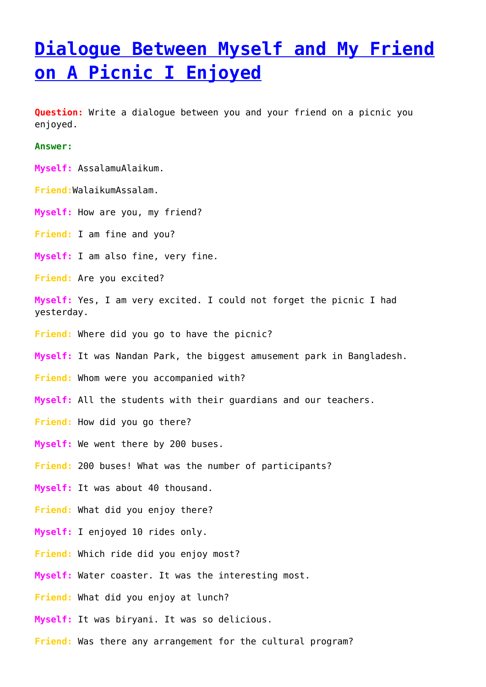## **[Dialogue Between Myself and My Friend](https://ghior.com/dialogues/dialogue-between-myself-and-my-friend-on-a-picnic-i-enjoyed/) [on A Picnic I Enjoyed](https://ghior.com/dialogues/dialogue-between-myself-and-my-friend-on-a-picnic-i-enjoyed/)**

**Question:** Write a dialogue between you and your friend on a picnic you enjoyed.

**Answer:**

**Myself:** AssalamuAlaikum.

**Friend:**WalaikumAssalam.

**Myself:** How are you, my friend?

**Friend:** I am fine and you?

**Myself:** I am also fine, very fine.

**Friend:** Are you excited?

**Myself:** Yes, I am very excited. I could not forget the picnic I had yesterday.

**Friend:** Where did you go to have the picnic?

**Myself:** It was Nandan Park, the biggest amusement park in Bangladesh.

**Friend:** Whom were you accompanied with?

**Myself:** All the students with their guardians and our teachers.

**Friend:** How did you go there?

**Myself:** We went there by 200 buses.

**Friend:** 200 buses! What was the number of participants?

**Myself:** It was about 40 thousand.

**Friend:** What did you enjoy there?

**Myself:** I enjoyed 10 rides only.

**Friend:** Which ride did you enjoy most?

**Myself:** Water coaster. It was the interesting most.

**Friend:** What did you enjoy at lunch?

**Myself:** It was biryani. It was so delicious.

**Friend:** Was there any arrangement for the cultural program?